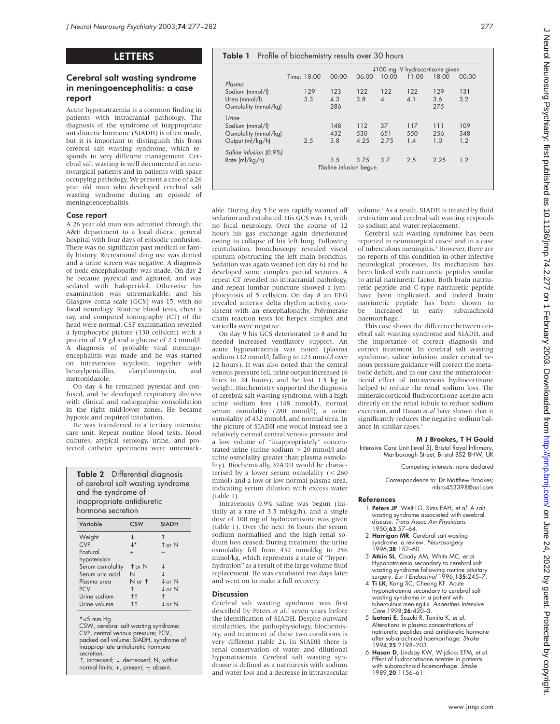# **LETTERS**

# Cerebral salt wasting syndrome in meningoencephalitis: a case report

Acute hyponatraemia is a common finding in patients with intracranial pathology. The diagnosis of the syndrome of inappropriate antidiuretic hormone (SIADH) is often made, but it is important to distinguish this from cerebral salt wasting syndrome, which responds to very different management. Cerebral salt wasting is well documented in neurosurgical patients and in patients with space occupying pathology. We present a case of a 26 year old man who developed cerebral salt wasting syndrome during an episode of meningoencephalitis.

### Case report

A 26 year old man was admitted through the A&E department to a local district general hospital with four days of episodic confusion. There was no significant past medical or family history. Recreational drug use was denied and a urine screen was negative. A diagnosis of toxic encephalopathy was made. On day 2 he became pyrexial and agitated, and was sedated with haloperidol. Otherwise his examination was unremarkable, and his Glasgow coma scale (GCS) was 15, with no focal neurology. Routine blood tests, chest *x* ray, and computed tomography (CT) of the head were normal. CSF examination revealed a lymphocytic picture (130 cells/cm) with a protein of 1.9 g/l and a glucose of 2.3 mmol/l. A diagnosis of probable viral meningoencephalitis was made and he was started on intravenous acyclovir, together with<br>benzylpenicillin, clarythromycin, and benzylpenicillin, clarythromycin, and metronidazole.

On day 4 he remained pyrexial and confused, and he developed respiratory distress with clinical and radiographic consolidation in the right mid/lower zones. He became hypoxic and required intubation.

He was transferred to a tertiary intensive care unit. Repeat routine blood tests, blood cultures, atypical serology, urine, and protected catheter specimens were unremark-

Table 2 Differential diagnosis of cerebral salt wasting syndrome and the syndrome of inappropriate antidiuretic hormone secretion

| Variable         | <b>CSW</b>      | <b>SIADH</b>      |
|------------------|-----------------|-------------------|
| Weight           |                 |                   |
| <b>CVP</b>       | ∣.∗             | ↑ or N            |
| Postural         | $\ddot{}$       |                   |
| hypotension      |                 |                   |
| Serum osmolality | ↑ or N          |                   |
| Serum uric acid  | N               |                   |
| Plasma urea      | N or $\uparrow$ | $\downarrow$ or N |
| <b>PCV</b>       |                 | $\downarrow$ or N |
| Urine sodium     | ↑↑              |                   |
| Urine volume     |                 | $\downarrow$ or N |

\*<5 mm Hg. CSW, cerebral salt wasting syndrome; CVP, central venous pressure; PCV, packed cell volume; SIADH, syndrome of inappropriate antidiuretic hormone secretion.

↑, increased; ↓, decreased; N, within normal limits; +, present; −, absent.

# Table 1 Profile of biochemistry results over 30 hours

|                        | $\downarrow$ 100 mg IV hydrocortisone given |                        |       |                          |       |       |       |
|------------------------|---------------------------------------------|------------------------|-------|--------------------------|-------|-------|-------|
|                        | Time: 18:00                                 | 00:00                  | 06:00 | 10:00                    | 11.00 | 18:00 | 00:00 |
| Plasma                 |                                             |                        |       |                          |       |       |       |
| Sodium (mmol/l)        | 129                                         | 123                    | 122   | 122                      | 122   | 129   | 131   |
| Urea (mmol/l)          | 3.3                                         | 4.3                    | 3.8   | $\overline{\mathcal{A}}$ | 4.1   | 3.6   | 3.2   |
| Osmolality (mmol/kg)   |                                             | 286                    |       |                          |       | 275   |       |
| Urine                  |                                             |                        |       |                          |       |       |       |
| Sodium (mmol/l)        |                                             | 148                    | 112   | 37                       | 117   | 111   | 109   |
| Osmolality (mmol/kg)   |                                             | 432                    | 530   | 651                      | 550   | 256   | 348   |
| Output (ml/kg/h)       | 2.5                                         | 3.8                    | 4.25  | 2.75                     | 1.4   | 1.0   | 1.2   |
|                        |                                             |                        |       |                          |       |       |       |
| Saline infusion (0.9%) |                                             |                        |       |                          |       |       |       |
| Rate (ml/kg/h)         |                                             | 3.5                    | 3 7 5 | 3.7                      | 2.5   | 2.25  | 1.2   |
|                        |                                             | TSaline infusion begun |       |                          |       |       |       |
|                        |                                             |                        |       |                          |       |       |       |

able. During day 5 he was rapidly weaned off sedation and extubated. His GCS was 15, with no focal neurology. Over the course of 12 hours his gas exchange again deteriorated owing to collapse of his left lung. Following reintubation, bronchoscopy revealed viscid sputum obstructing the left main bronchus. Sedation was again weaned (on day 6) and he developed some complex partial seizures. A repeat CT revealed no intracranial pathology, and repeat lumbar puncture showed a lymphocytosis of 5 cells/cm. On day 8 an EEG revealed anterior delta rhythm activity, consistent with an encephalopathy. Polymerase chain reaction tests for herpex simplex and varicella were negative.

On day 9 his GCS deteriorated to 8 and he needed increased ventilatory support. An acute hyponatraemia was noted (plasma sodium 132 mmol/l, falling to 123 mmol/l over 12 hours). It was also noted that the central venous pressure fell, urine output increased (6 litres in 24 hours), and he lost 1.5 kg in weight. Biochemistry supported the diagnosis of cerebral salt wasting syndrome, with a high urine sodium loss (148 mmol/l), normal serum osmolality (280 mmol/l), a urine osmolality of 432 mmol/l, and normal urea. In the picture of SIADH one would instead see a relatively normal central venous pressure and a low volume of "inappropriately" concentrated urine (urine sodium > 20 mmol/l and urine osmolality greater than plasma osmolality). Biochemically, SIADH would be characterised by a lower serum osmolality (< 260 mmol) and a low or low normal plasma urea, indicating serum dilution with excess water (table 1).

Intravenous 0.9% saline was begun (initially at a rate of 3.5 ml/kg/h), and a single dose of 100 mg of hydrocortisone was given (table 1). Over the next 36 hours the serum sodium normalised and the high renal sodium loss ceased. During treatment the urine osmolality fell from 432 mmol/kg to 256 mmol/kg, which represents a state of "hyperhydration" as a result of the large volume fluid replacement. He was extubated two days later and went on to make a full recovery.

### Discussion

Cerebral salt wasting syndrome was first described by Peters *et al*, <sup>1</sup> seven years before the identification of SIADH. Despite outward similarities, the pathophysiology, biochemistry, and treatment of these two conditions is very different (table 2). In SIADH there is renal conservation of water and dilutional hyponatraemia. Cerebral salt wasting syndrome is defined as a natriuresis with sodium and water loss and a decrease in intravascular

volume.2 As a result, SIADH is treated by fluid restriction and cerebral salt wasting responds to sodium and water replacement.

Cerebral salt wasting syndrome has been reported in neurosurgical cases<sup>3</sup> and in a case of tuberculous meningitis.4 However, there are no reports of this condition in other infective neurological processes. Its mechanism has been linked with natriuretic peptides similar to atrial natriuretic factor. Both brain natriuretic peptide and C-type natriuretic peptide have been implicated, and indeed brain natriuretic peptide has been shown to<br>be increased in early subarachnoid be increased in early haemorrhage.<sup>5</sup>

This case shows the difference between cerebral salt wasting syndrome and SIADH, and the importance of correct diagnosis and correct treatment. In cerebral salt wasting syndrome, saline infusion under central venous pressure guidance will correct the metabolic deficit, and in our case the mineralocorticoid effect of intravenous hydrocortisone helped to reduce the renal sodium loss. The mineralocorticoid fludrocortisone acetate acts directly on the renal tubule to reduce sodium excretion, and Hasan *et al* have shown that it significantly reduces the negative sodium balance in similar cases.<sup>6</sup>

#### M J Brookes, T H Gould

Intensive Care Unit (level 5), Bristol Royal Infirmary, Marlborough Street, Bristol BS2 8HW, UK

Competing interests: none declared

Correspondence to: Dr Matthew Brookes; mbro453398@aol.com

### References

- 1 Peters JP, Welt LG, Sims EAH, et al. A salt wasting syndrome associated with cerebral disease. Trans Assoc Am Physicians 1950;63:57–64.
- 2 Harrigan MR. Cerebral salt wasting syndrome: a review. Neurosurgery 1996;38:152–60.
- 3 Atkin SL, Coady AM, White MC, et al. Hyponatraemia secondary to cerebral salt wasting syndrome following routine pituitary<br>surgery. *Eur J Endocrinol* 1996;**135**:245–7.
- 4 Ti LK, Kang SC, Cheong KF. Acute hyponatraemia secondary to cerebral salt wasting syndrome in a patient with tuberculous meningitis. A*naesthes Intensive*<br>Care 1998;**26**:420–3.
- 5 Isotani E, Suzuki R, Tomita K, et al. Alterations in plasma concentrations of natriuretic peptides and antidiuretic hormone after sub-arachnoid haemorrhage. Stroke 1994;25:2198–203.
- 6 Hasan D, Lindsay KW, Wijdicks EFM, et al. Effect of fludrocortisone acetate in patients with subarachnoid haemorrhage. Stroke 1989;20:1156–61.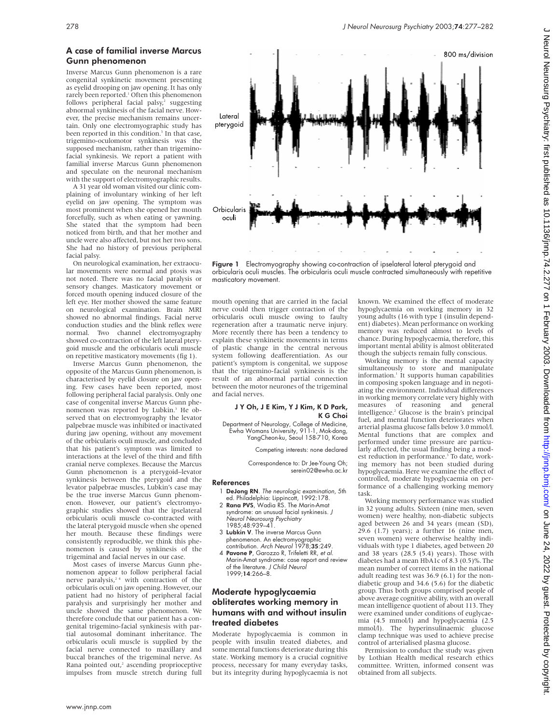# A case of familial inverse Marcus Gunn phenomenon

Inverse Marcus Gunn phenomenon is a rare congenital synkinetic movement presenting as eyelid drooping on jaw opening. It has only rarely been reported.<sup>1</sup> Often this phenomenon follows peripheral facial palsy, $2$  suggesting abnormal synkinesis of the facial nerve. However, the precise mechanism remains uncertain. Only one electromyographic study has been reported in this condition.<sup>3</sup> In that case, trigemino-oculomotor synkinesis was the supposed mechanism, rather than trigeminofacial synkinesis. We report a patient with familial inverse Marcus Gunn phenomenon and speculate on the neuronal mechanism with the support of electromyographic results.

A 31 year old woman visited our clinic complaining of involuntary winking of her left eyelid on jaw opening. The symptom was most prominent when she opened her mouth forcefully, such as when eating or yawning. She stated that the symptom had been noticed from birth, and that her mother and uncle were also affected, but not her two sons. She had no history of previous peripheral facial palsy.

On neurological examination, her extraocular movements were normal and ptosis was not noted. There was no facial paralysis or sensory changes. Masticatory movement or forced mouth opening induced closure of the left eye. Her mother showed the same feature on neurological examination. Brain MRI showed no abnormal findings. Facial nerve conduction studies and the blink reflex were normal. Two channel electromyography showed co-contraction of the left lateral pterygoid muscle and the orbicularis oculi muscle on repetitive masticatory movements (fig 1).

Inverse Marcus Gunn phenomenon, the opposite of the Marcus Gunn phenomenon, is characterised by eyelid closure on jaw opening. Few cases have been reported, most following peripheral facial paralysis. Only one case of congenital inverse Marcus Gunn phenomenon was reported by Lubkin.<sup>3</sup> He observed that on electromyography the levator palpebrae muscle was inhibited or inactivated during jaw opening, without any movement of the orbicularis oculi muscle, and concluded that his patient's symptom was limited to interactions at the level of the third and fifth cranial nerve complexes. Because the Marcus Gunn phenomenon is a pterygoid–levator synkinesis between the pterygoid and the levator palpebrae muscles, Lubkin's case may be the true inverse Marcus Gunn phenomenon. However, our patient's electromyographic studies showed that the ipselateral orbicularis oculi muscle co-contracted with the lateral pterygoid muscle when she opened her mouth. Because these findings were consistently reproducible, we think this phenomenon is caused by synkinesis of the trigeminal and facial nerves in our case.

Most cases of inverse Marcus Gunn phenomenon appear to follow peripheral facial nerve paralysis,<sup>24</sup> with contraction of the orbicularis oculi on jaw opening. However, our patient had no history of peripheral facial paralysis and surprisingly her mother and uncle showed the same phenomenon. We therefore conclude that our patient has a congenital trigemino-facial synkinesis with partial autosomal dominant inheritance. The orbicularis oculi muscle is supplied by the facial nerve connected to maxillary and buccal branches of the trigeminal nerve. As Rana pointed out, $2$  ascending proprioceptive impulses from muscle stretch during full



Figure 1 Electromyography showing co-contraction of ipselateral lateral pterygoid and orbicularis oculi muscles. The orbicularis oculi muscle contracted simultaneously with repetitive masticatory movement.

mouth opening that are carried in the facial nerve could then trigger contraction of the orbicularis oculi muscle owing to faulty regeneration after a traumatic nerve injury. More recently there has been a tendency to explain these synkinetic movements in terms of plastic change in the central nervous system following deafferentiation. As our patient's symptom is congenital, we suppose that the trigemino-facial synkinesis is the result of an abnormal partial connection between the motor neurones of the trigeminal and facial nerves.

#### J Y Oh, J E Kim, Y J Kim, K D Park, K G Choi

Department of Neurology, College of Medicine, Ewha Womans University, 911-1, Mok-dong, YangCheon-ku, Seoul 158-710, Korea

Competing interests: none declared

Correspondence to: Dr Jee-Young Oh; serein02@ewha.ac.kr

#### References

- 1 DeJong RN. The neurologic examination, 5th
- ed. Philadelphia: Lippincott, 1992:178.<br>2 **Rana PVS**, Wadia RS. The Marin-Amat syndrome: an unusual facial synkinesis. J Neurol Neurosurg Psychiatry 1985;48:939–41.
- 3 Lubkin V. The inverse Marcus Gunn phenomenon. An electromyographic<br>contribution. *Arch Neurol* 1978;**35**:249.
- 4 Pavone P, Garozzo R, Trifeletti RR, et al. Marin-Amat syndrome: case report and review of the literature. J Child Neurol 1999;14:266–8.

# Moderate hypoglycaemia obliterates working memory in humans with and without insulin treated diabetes

Moderate hypoglycaemia is common in people with insulin treated diabetes, and some mental functions deteriorate during this state. Working memory is a crucial cognitive process, necessary for many everyday tasks, but its integrity during hypoglycaemia is not

known. We examined the effect of moderate hypoglycaemia on working memory in 32 young adults (16 with type 1 (insulin dependent) diabetes). Mean performance on working memory was reduced almost to levels of chance. During hypoglycaemia, therefore, this important mental ability is almost obliterated though the subjects remain fully conscious.

Working memory is the mental capacity simultaneously to store and manipulate information.<sup>1</sup> It supports human capabilities in composing spoken language and in negotiating the environment. Individual differences in working memory correlate very highly with measures of reasoning and general intelligence.<sup>2</sup> Glucose is the brain's principal fuel, and mental function deteriorates when arterial plasma glucose falls below 3.0 mmol/l. Mental functions that are complex and performed under time pressure are particularly affected, the usual finding being a modest reduction in performance.<sup>3</sup> To date, working memory has not been studied during hypoglycaemia. Here we examine the effect of controlled, moderate hypoglycaemia on performance of a challenging working memory task.

Working memory performance was studied in 32 young adults. Sixteen (nine men, seven women) were healthy, non-diabetic subjects aged between 26 and 34 years (mean (SD), 29.6 (1.7) years); a further 16 (nine men, seven women) were otherwise healthy individuals with type 1 diabetes, aged between 20 and 38 years (28.5 (5.4) years). Those with diabetes had a mean HbA1c of 8.3 (0.5)%. The mean number of correct items in the national adult reading test was 36.9 (6.1) for the nondiabetic group and 34.6 (5.6) for the diabetic group. Thus both groups comprised people of above average cognitive ability, with an overall mean intelligence quotient of about 113. They were examined under conditions of euglycaemia (4.5 mmol/l) and hypoglycaemia (2.5 mmol/l). The hyperinsulinaemic glucose clamp technique was used to achieve precise control of arterialised plasma glucose.

Permission to conduct the study was given by Lothian Health medical research ethics committee. Written, informed consent was obtained from all subjects.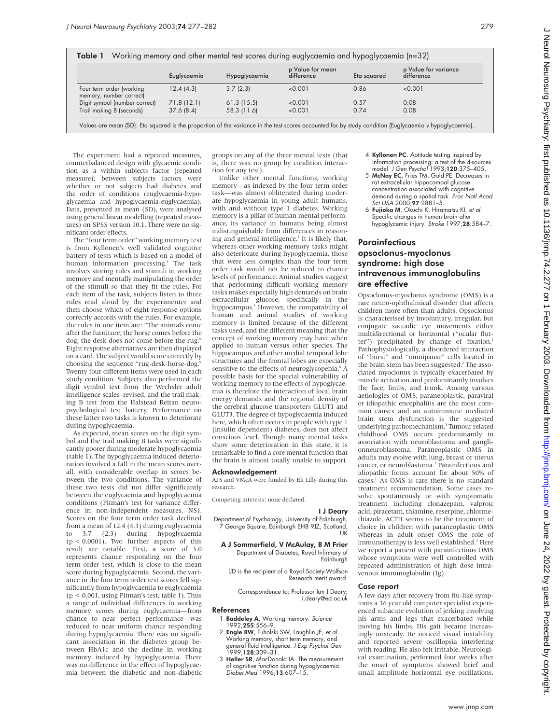|                                                     | Euglycaemia | Hypoglycaemia | p Value for mean<br>difference | Eta squared | p Value for variance<br>difference |
|-----------------------------------------------------|-------------|---------------|--------------------------------|-------------|------------------------------------|
| Four term order (working<br>memory; number correct) | 12.4(4.3)   | 3.7(2.3)      | < 0.001                        | 0.86        | < 0.001                            |
| Digit symbol (number correct)                       | 71.8(12.1)  | $61.3$ (15.5) | < 0.001                        | 0.57        | 0.08                               |
| Trail making B (seconds)                            | 37.6(8.4)   | 58.3 (11.6)   | < 0.001                        | 0.74        | 0.08                               |

The experiment had a repeated measures, counterbalanced design with glycaemic condition as a within subjects factor (repeated measure); between subjects factors were whether or not subjects had diabetes and the order of conditions (euglycaemia-hypoglycaemia and hypoglycaemia-euglycaemia). Data, presented as mean (SD), were analysed using general linear modelling (repeated measures) on SPSS version 10.1. There were no significant order effects.

The "four term order" working memory test is from Kyllonen's well validated cognitive battery of tests which is based on a model of human information processing.4 The task involves storing rules and stimuli in working memory and mentally manipulating the order of the stimuli so that they fit the rules. For each item of the task, subjects listen to three rules read aloud by the experimenter and then choose which of eight response options correctly accords with the rules. For example, the rules in one item are: "The animals come after the furniture; the horse comes before the dog; the desk does not come before the rug." Eight response alternatives are then displayed on a card. The subject would score correctly by choosing the sequence "rug-desk-horse-dog." Twenty four different items were used in each study condition. Subjects also performed the digit symbol test from the Wechsler adult intelligence scales–revised, and the trail making B test from the Halstead Reitan neuropsychological test battery. Performance on these latter two tasks is known to deteriorate during hypoglycaemia.

As expected, mean scores on the digit symbol and the trail making B tasks were significantly poorer during moderate hypoglycaemia (table 1). The hypoglycaemia induced deterioration involved a fall in the mean scores overall, with considerable overlap in scores between the two conditions. The variance of these two tests did not differ significantly between the euglycaemia and hypoglycaemia conditions (Pitman's test for variance difference in non-independent measures, NS). Scores on the four term order task declined from a mean of 12.4 (4.3) during euglycaemia to 3.7 (2.3) during hypoglycaemia (p < 0.0001). Two further aspects of this result are notable. First, a score of 3.0 represents chance responding on the four term order test, which is close to the mean score during hypoglycaemia. Second, the variance in the four term order test scores fell significantly from hypoglycaemia to euglycaemia  $(p < 0.001$ , using Pitman's test; table 1). Thus a range of individual differences in working memory scores during euglycaemia—from chance to near perfect performance—was reduced to near uniform chance responding during hypoglycaemia. There was no significant association in the diabetes group between HbA1c and the decline in working memory induced by hypoglycaemia. There was no difference in the effect of hypoglycaemia between the diabetic and non-diabetic

groups on any of the three mental tests (that is, there was no group by condition interaction for any test).

Unlike other mental functions, working memory—as indexed by the four term order task—was almost obliterated during moderate hypoglycaemia in young adult humans, with and without type 1 diabetes. Working memory is a pillar of human mental performance, its variance in humans being almost indistinguishable from differences in reasoning and general intelligence.<sup>2</sup> It is likely that, whereas other working memory tasks might also deteriorate during hypoglycaemia, those that were less complex than the four term order task would not be reduced to chance levels of performance. Animal studies suggest that performing difficult working memory tasks makes especially high demands on brain extracellular glucose, specifically in the hippocampus.<sup>5</sup> However, the comparability of human and animal studies of working memory is limited because of the different tasks used, and the different meaning that the concept of working memory may have when applied to human versus other species. The hippocampus and other medial temporal lobe structures and the frontal lobes are especially sensitive to the effects of neuroglycopenia.<sup>6</sup> A possible basis for the special vulnerability of working memory to the effects of hypoglycaemia is therefore the interaction of local brain energy demands and the regional density of the cerebral glucose transporters GLUT1 and GLUT3. The degree of hypoglycaemia induced here, which often occurs in people with type 1 (insulin dependent) diabetes, does not affect conscious level. Though many mental tasks show some deterioration in this state, it is remarkable to find a core mental function that the brain is almost totally unable to support.

#### Acknowledgement

AJS and VMcA were funded by Eli Lilly during this research.

Competing interests: none declared.

### I J Deary

- Department of Psychology, University of Edinburgh, 7 George Square, Edinburgh EH8 9JZ, Scotland, UK
	- A J Sommerfield, V McAulay, B M Frier Department of Diabetes, Royal Infirmary of Edinburgh
		- IJD is the recipient of a Royal Society-Wolfson Research merit award.

Correspondence to: Professor Ian J Deary; i.deary@ed.ac.uk

#### References

- 1 Baddeley A. Working memory. Science 1992;255:556–9.
- 2 Engle RW, Tuholski SW, Laughlin JE, et al. Working memory, short term memory, and general fluid intelligence. J Exp Psychol Gen  $999.128.309 - 31$
- 3 Heller SR, MacDonald IA. The measurement of cognitive function during hypoglycaemia. Diabet Med 1996;13:607–15.
- 4 Kyllonen PC. Aptitude testing inspired by information processing: a test of the 4-sources model. J Gen Psychol 1993;120:375–405.
- 5 McNay EC, Fries TM, Gold PE. Decreases in rat extracellular hippocampal glucose concentration associated with cognitive demand during a spatial task. Proc Natl Acad Sci USA 2000:97:2881-5.
- 6 Fujioka M, Okuchi K, Hiramatsu KI, et al. Specific changes in human brain after hypoglycemic injury. Stroke 1997;28:584–7.

### **Parainfectious** opsoclonus-myoclonus syndrome: high dose intravenous immunoglobulins are effective

Opsoclonus-myoclonus syndrome (OMS) is a rare neuro-ophthalmical disorder that affects children more often than adults. Opsoclonus is characterised by involuntary, irregular, but conjugate saccadic eye movements either multidirectional or horizontal ("ocular flutter") precipitated by change of fixation.<sup>1</sup> Pathophysiologically, a disordered interaction of "burst" and "omnipause" cells located in the brain stem has been suggested.<sup>2</sup> The associated myoclonus is typically exacerbated by muscle activation and predominantly involves the face, limbs, and trunk. Among various aetiologies of OMS, paraneoplastic, paraviral or idiopathic encephalitis are the most common causes and an autoimmune mediated brain stem dysfunction is the suggested underlying pathomechanism.<sup>3</sup> Tumour related childhood OMS occurs predominantly in association with neuroblastoma and ganglionneuroblastoma. Paraneoplastic OMS in adults may evolve with lung, breast or uterus cancer, or neuroblastoma.<sup>2</sup> Parainfectious and idiopathic forms account for about 50% of cases.1 As OMS is rare there is no standard treatment recommendation. Some cases resolve spontaneously or with symptomatic treatment including clonazepam, valproic acid, piracetam, thiamine, reserpine, chlormethiazole. ACTH seems to be the treatment of choice in children with paraneoplastic OMS whereas in adult onset OMS the role of immunotherapy is less well established.<sup>2</sup> Here we report a patient with parainfectious OMS whose symptoms were well controlled with repeated administration of high dose intravenous immunoglobulin (Ig).

### Case report

A few days after recovery from flu-like symptoms a 36 year old computer specialist experienced subacute evolution of jerking involving his arms and legs that exacerbated while moving his limbs. His gait became increasingly unsteady. He noticed visual instability and reported severe oscillopsia interfering with reading. He also felt irritable. Neurological examination, performed four weeks after the onset of symptoms showed brief and small amplitude horizontal eye oscillations,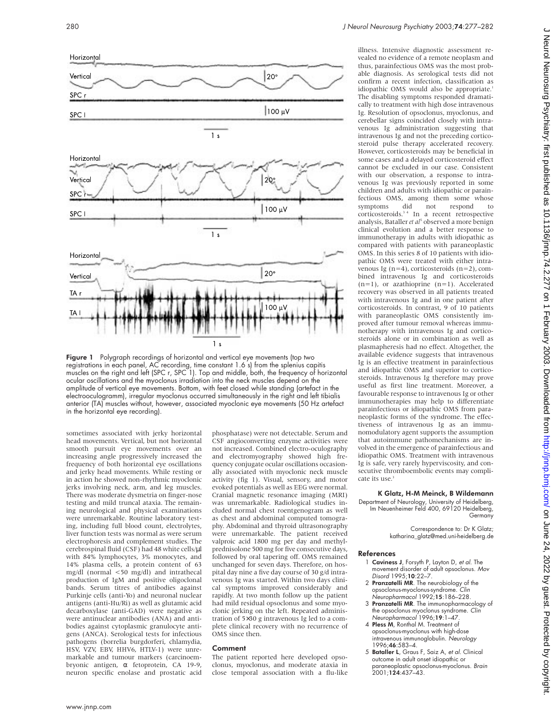

Figure 1 Polygraph recordings of horizontal and vertical eye movements (top two registrations in each panel, AC recording, time constant 1.6 s) from the splenius capitis muscles on the right and left (SPC r, SPC 1). Top and middle, both, the frequency of horizontal ocular oscillations and the myoclonus irradiation into the neck muscles depend on the amplitude of vertical eye movements. Bottom, with feet closed while standing (artefact in the electrooculogramm), irregular myoclonus occurred simultaneously in the right and left tibialis anterior (TA) muscles without, however, associated myoclonic eye movements (50 Hz artefact in the horizontal eye recording).

sometimes associated with jerky horizontal head movements. Vertical, but not horizontal smooth pursuit eye movements over an increasing angle progressively increased the frequency of both horizontal eye oscillations and jerky head movements. While resting or in action he showed non-rhythmic myoclonic jerks involving neck, arm, and leg muscles. There was moderate dysmetria on finger-nose testing and mild truncal ataxia. The remaining neurological and physical examinations were unremarkable. Routine laboratory testing, including full blood count, electrolytes, liver function tests was normal as were serum electrophoresis and complement studies. The cerebrospinal fluid (CSF) had 48 white cells/µl with 84% lymphocytes, 3% monocytes, and 14% plasma cells, a protein content of 63 mg/dl (normal <50 mg/dl) and intrathecal production of IgM and positive oligoclonal bands. Serum titres of antibodies against Purkinje cells (anti-Yo) and neuronal nuclear antigens (anti-Hu/Ri) as well as glutamic acid decarboxylase (anti-GAD) were negative as were antinuclear antibodies (ANA) and antibodies against cytoplasmic granulocyte antigens (ANCA). Serological tests for infectious pathogens (borrelia burgdorferi, chlamydia, HSV, VZV, EBV, HHV6, HTLV-1) were unremarkable and tumour markers (carcinoembryonic antigen, α fetoprotein, CA 19-9, neuron specific enolase and prostatic acid

phosphatase) were not detectable. Serum and CSF angioconverting enzyme activities were not increased. Combined electro-oculography and electromyography showed high frequency conjugate ocular oscillations occasionally associated with myoclonic neck muscle activity (fig 1). Visual, sensory, and motor evoked potentials as well as EEG were normal. Cranial magnetic resonance imaging (MRI) was unremarkable. Radiological studies included normal chest roentgenogram as well as chest and abdominal computed tomography. Abdominal and thyroid ultrasonography were unremarkable. The patient received valproic acid 1800 mg per day and methylprednisolone 500 mg for five consecutive days, followed by oral tapering off. OMS remained unchanged for seven days. Therefore, on hospital day nine a five day course of 30 g/d intravenous Ig was started. Within two days clinical symptoms improved considerably and rapidly. At two month follow up the patient had mild residual opsoclonus and some myoclonic jerking on the left. Repeated administration of 5×30 g intravenous Ig led to a complete clinical recovery with no recurrence of OMS since then.

### Comment

The patient reported here developed opsoclonus, myoclonus, and moderate ataxia in close temporal association with a flu-like

illness. Intensive diagnostic assessment revealed no evidence of a remote neoplasm and thus, parainfectious OMS was the most probable diagnosis. As serological tests did not confirm a recent infection, classification as idiopathic OMS would also be appropriate.<sup>1</sup> The disabling symptoms responded dramatically to treatment with high dose intravenous Ig. Resolution of opsoclonus, myoclonus, and cerebellar signs coincided closely with intravenous Ig administration suggesting that intravenous Ig and not the preceding corticosteroid pulse therapy accelerated recovery. However, corticosteroids may be beneficial in some cases and a delayed corticosteroid effect cannot be excluded in our case. Consistent with our observation, a response to intravenous Ig was previously reported in some children and adults with idiopathic or parainfectious OMS, among them some whose symptoms did not respond to corticosteroids.3 4 In a recent retrospective analysis, Bataller *et al*<sup>5</sup> observed a more benign clinical evolution and a better response to immunotherapy in adults with idiopathic as compared with patients with paraneoplastic OMS. In this series 8 of 10 patients with idiopathic OMS were treated with either intravenous Ig  $(n=4)$ , corticosteroids  $(n=2)$ , combined intravenous Ig and corticosteroids  $(n=1)$ , or azathioprine  $(n=1)$ . Accelerated recovery was observed in all patients treated with intravenous Ig and in one patient after corticosteroids. In contrast, 9 of 10 patients with paraneoplastic OMS consistently improved after tumour removal whereas immunotherapy with intravenous Ig and corticosteroids alone or in combination as well as plasmapheresis had no effect. Altogether, the available evidence suggests that intravenous Ig is an effective treatment in parainfectious and idiopathic OMS and superior to corticosteroids. Intravenous Ig therefore may prove useful as first line treatment. Moreover, a favourable response to intravenous Ig or other immunotherapies may help to differentiate parainfectious or idiopathic OMS from paraneoplastic forms of the syndrome. The effectiveness of intravenous Ig as an immunomodulatory agent supports the assumption that autoimmune pathomechanisms are involved in the emergence of parainfectious and idiopathic OMS. Treatment with intravenous Ig is safe, very rarely hyperviscosity, and consecutive thromboembolic events may complicate its use.<sup>3</sup>

### K Glatz, H-M Meinck, B Wildemann

Department of Neurology, University of Heidelberg, Im Neuenheimer Feld 400, 69120 Heidelberg, **Germany** 

> Correspondence to: Dr K Glatz; katharina\_glatz@med.uni-heidelberg.de

#### References

- 1 Caviness J, Forsyth P, Layton D, et al. The movement disorder of adult opsoclonus. Mov Disord 1995;10:22–7.
- 2 Pranzatelli MR. The neurobiology of the opsoclonus-myoclonus-syndrome. *Clin*<br>Neuropharmacol 1992;**15**:186–228.
- 3 **Pranzatelli MR**. The immunopharmacology of the opsoclonus myoclonus syndrome. Clin Neuropharmacol 1996;19:1–47.
- 4 Pless M, Ronthal M. Treatment of opsoclonus-myoclonus with high-dose intravenous immunoglobulin. Neurology 1996;46:583–4.
- 5 Bataller L, Graus F, Saiz A, et al. Clinical outcome in adult onset idiopathic or paraneoplastic opsoclonus-myoclonus. Brain 2001;124:437–43.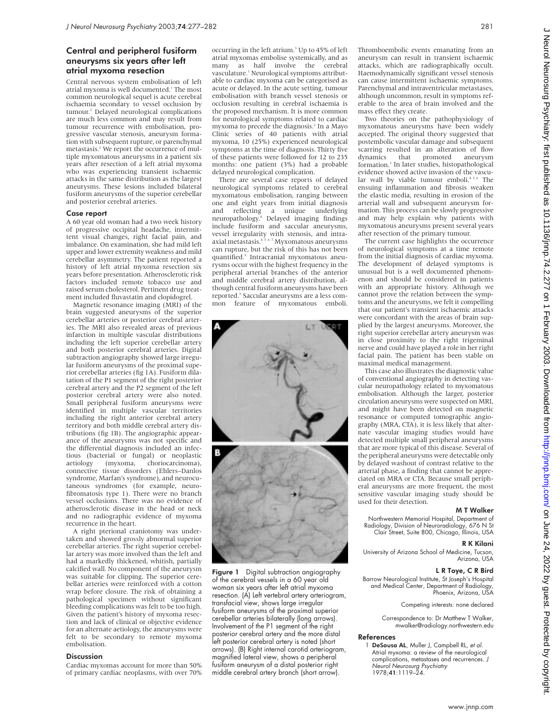# Central and peripheral fusiform aneurysms six years after left atrial myxoma resection

Central nervous system embolisation of left atrial myxoma is well documented.<sup>1</sup> The most common neurological sequel is acute cerebral ischaemia secondary to vessel occlusion by tumour.2 Delayed neurological complications are much less common and may result from tumour recurrence with embolisation, progressive vascular stenosis, aneurysm formation with subsequent rupture, or parenchymal metastasis.<sup>2</sup> We report the occurrence of multiple myxomatous aneurysms in a patient six years after resection of a left atrial myxoma who was experiencing transient ischaemic attacks in the same distribution as the largest aneurysms. These lesions included bilateral fusiform aneurysms of the superior cerebellar and posterior cerebral arteries.

#### Case report

A 60 year old woman had a two week history of progressive occipital headache, intermittent visual changes, right facial pain, and imbalance. On examination, she had mild left upper and lower extremity weakness and mild cerebellar asymmetry. The patient reported a history of left atrial myxoma resection six years before presentation. Atherosclerotic risk factors included remote tobacco use and raised serum cholesterol. Pertinent drug treatment included fluvastatin and clopidogrel.

Magnetic resonance imaging (MRI) of the brain suggested aneurysms of the superior cerebellar arteries or posterior cerebral arteries. The MRI also revealed areas of previous infarction in multiple vascular distributions including the left superior cerebellar artery and both posterior cerebral arteries. Digital subtraction angiography showed large irregular fusiform aneurysms of the proximal superior cerebellar arteries (fig 1A). Fusiform dilatation of the P1 segment of the right posterior cerebral artery and the P2 segment of the left posterior cerebral artery were also noted. Small peripheral fusiform aneurysms were identified in multiple vascular territories including the right anterior cerebral artery territory and both middle cerebral artery distributions (fig 1B). The angiographic appearance of the aneurysms was not specific and the differential diagnosis included an infectious (bacterial or fungal) or neoplastic<br>aetiology (myxoma, choriocarcinoma), choriocarcinoma), connective tissue disorders (Ehlers–Danlos syndrome, Marfan's syndrome), and neurocutaneous syndromes (for example, neurofibromatosis type 1). There were no branch vessel occlusions. There was no evidence of atherosclerotic disease in the head or neck and no radiographic evidence of myxoma recurrence in the heart.

A right pterional craniotomy was undertaken and showed grossly abnormal superior cerebellar arteries. The right superior cerebellar artery was more involved than the left and had a markedly thickened, whitish, partially calcified wall. No component of the aneurysm was suitable for clipping. The superior cerebellar arteries were reinforced with a cotton wrap before closure. The risk of obtaining a pathological specimen without significant bleeding complications was felt to be too high. Given the patient's history of myxoma resection and lack of clinical or objective evidence for an alternate aetiology, the aneurysms were felt to be secondary to remote myxoma embolisation.

### **Discussion**

Cardiac myxomas account for more than 50% of primary cardiac neoplasms, with over 70% occurring in the left atrium.<sup>3</sup> Up to 45% of left atrial myxomas embolise systemically, and as many as half involve the cerebral vasculature.<sup>1</sup> Neurological symptoms attributable to cardiac myxoma can be categorised as acute or delayed. In the acute setting, tumour embolisation with branch vessel stenosis or occlusion resulting in cerebral ischaemia is the proposed mechanism. It is more common for neurological symptoms related to cardiac myxoma to precede the diagnosis.<sup>2</sup> In a Mayo Clinic series of 40 patients with atrial myxoma, 10 (25%) experienced neurological symptoms at the time of diagnosis. Thirty five of these patients were followed for 12 to 235 months: one patient (3%) had a probable delayed neurological complication.

There are several case reports of delayed neurological symptoms related to cerebral myxomatous embolisation, ranging between one and eight years from initial diagnosis and reflecting a unique underlying neuropathology.4 Delayed imaging findings include fusiform and saccular aneurysms, vessel irregularity with stenosis, and intraaxial metastasis.4567 Myxomatous aneurysms can rupture, but the risk of this has not been quantified.<sup>5</sup> Intracranial myxomatous aneurysms occur with the highest frequency in the peripheral arterial branches of the anterior and middle cerebral artery distribution, although central fusiform aneurysms have been reported.3 Saccular aneurysms are a less common feature of myxomatous emboli.



Figure 1 Digital subtraction angiography of the cerebral vessels in a 60 year old woman six years after left atrial myxoma resection. (A) Left vertebral artery arteriogram, transfacial view, shows large irregular fusiform aneurysms of the proximal superior cerebellar arteries bilaterally (long arrows). Involvement of the P1 segment of the right posterior cerebral artery and the more distal left posterior cerebral artery is noted (short arrows). (B) Right internal carotid arteriogram, magnified lateral view, shows a peripheral fusiform aneurysm of a distal posterior right middle cerebral artery branch (short arrow).

Thromboembolic events emanating from an aneurysm can result in transient ischaemic attacks, which are radiographically occult. Haemodynamically significant vessel stenosis can cause intermittent ischaemic symptoms. Parenchymal and intraventricular metastases, although uncommon, result in symptoms referable to the area of brain involved and the mass effect they create.

Two theories on the pathophysiology of myxomatous aneurysms have been widely accepted. The original theory suggested that postembolic vascular damage and subsequent scarring resulted in an alteration of flow<br>dynamics that promoted aneurysm that promoted aneurysm formation.3 In later studies, histopathological evidence showed active invasion of the vascular wall by viable tumour emboli.<sup>456</sup> The ensuing inflammation and fibrosis weaken the elastic media, resulting in erosion of the arterial wall and subsequent aneurysm formation. This process can be slowly progressive and may help explain why patients with myxomatous aneurysms present several years after resection of the primary tumour.

The current case highlights the occurrence of neurological symptoms at a time remote from the initial diagnosis of cardiac myxoma. The development of delayed symptoms is unusual but is a well documented phenomenon and should be considered in patients with an appropriate history. Although we cannot prove the relation between the symptoms and the aneurysms, we felt it compelling that our patient's transient ischaemic attacks were concordant with the areas of brain supplied by the largest aneurysms. Moreover, the right superior cerebellar artery aneurysm was in close proximity to the right trigeminal nerve and could have played a role in her right facial pain. The patient has been stable on maximal medical management.

This case also illustrates the diagnostic value of conventional angiography in detecting vascular neuropathology related to myxomatous embolisation. Although the larger, posterior circulation aneurysms were suspected on MRI, and might have been detected on magnetic resonance or computed tomographic angiography (MRA, CTA), it is less likely that alternate vascular imaging studies would have detected multiple small peripheral aneurysms that are more typical of this disease. Several of the peripheral aneurysms were detectable only by delayed washout of contrast relative to the arterial phase, a finding that cannot be appreciated on MRA or CTA. Because small peripheral aneurysms are more frequent, the most sensitive vascular imaging study should be used for their detection.

### M T Walker

Northwestern Memorial Hospital, Department of Radiology, Division of Neuroradiology, 676 N St Clair Street, Suite 800, Chicago, Illinois, USA

#### R K Kilani

University of Arizona School of Medicine, Tucson, Arizona, USA

### L R Toye, C R Bird

Barrow Neurological Institute, St Joseph's Hospital and Medical Center, Department of Radiology, Phoenix, Arizona, USA

Competing interests: none declared

Correspondence to: Dr Matthew T Walker, mwalker@radiology.northwestern.edu

### References

1 DeSousa AL, Muller J, Campbell RL, et al. Atrial myxoma: a review of the neurological complications, metastases and recurrences. J Neurol Neurosurg Psychiatry 1978;41:1119–24.